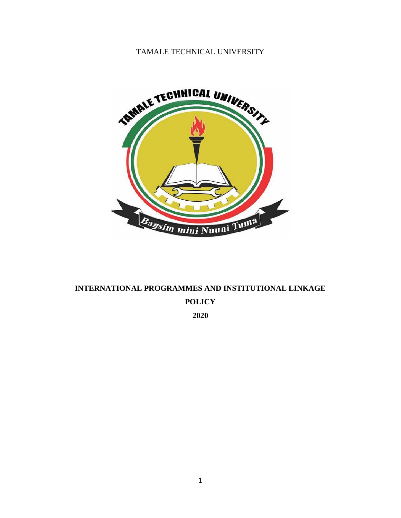# TAMALE TECHNICAL UNIVERSITY



# **INTERNATIONAL PROGRAMMES AND INSTITUTIONAL LINKAGE POLICY 2020**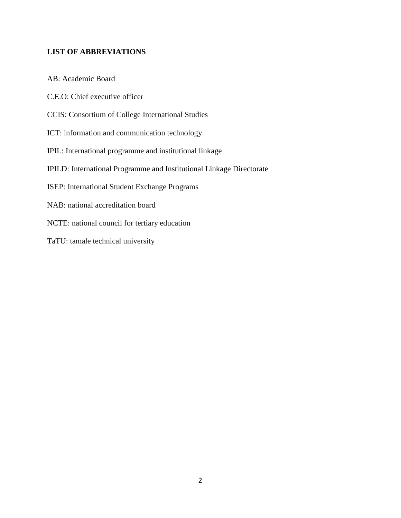# **LIST OF ABBREVIATIONS**

AB: Academic Board

C.E.O: Chief executive officer

- CCIS: Consortium of College International Studies
- ICT: information and communication technology
- IPIL: International programme and institutional linkage
- IPILD: International Programme and Institutional Linkage Directorate
- ISEP: International Student Exchange Programs
- NAB: national accreditation board
- NCTE: national council for tertiary education
- TaTU: tamale technical university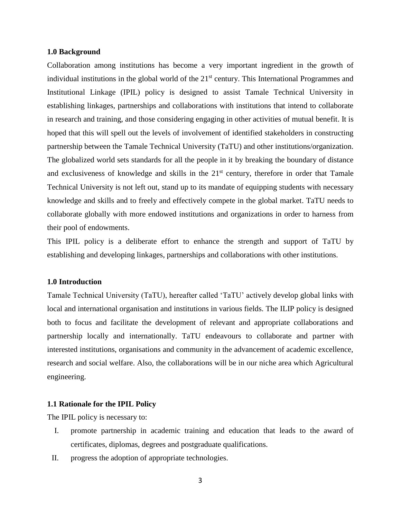#### **1.0 Background**

Collaboration among institutions has become a very important ingredient in the growth of individual institutions in the global world of the  $21<sup>st</sup>$  century. This International Programmes and Institutional Linkage (IPIL) policy is designed to assist Tamale Technical University in establishing linkages, partnerships and collaborations with institutions that intend to collaborate in research and training, and those considering engaging in other activities of mutual benefit. It is hoped that this will spell out the levels of involvement of identified stakeholders in constructing partnership between the Tamale Technical University (TaTU) and other institutions/organization. The globalized world sets standards for all the people in it by breaking the boundary of distance and exclusiveness of knowledge and skills in the  $21<sup>st</sup>$  century, therefore in order that Tamale Technical University is not left out, stand up to its mandate of equipping students with necessary knowledge and skills and to freely and effectively compete in the global market. TaTU needs to collaborate globally with more endowed institutions and organizations in order to harness from their pool of endowments.

This IPIL policy is a deliberate effort to enhance the strength and support of TaTU by establishing and developing linkages, partnerships and collaborations with other institutions.

## **1.0 Introduction**

Tamale Technical University (TaTU), hereafter called 'TaTU' actively develop global links with local and international organisation and institutions in various fields. The ILIP policy is designed both to focus and facilitate the development of relevant and appropriate collaborations and partnership locally and internationally. TaTU endeavours to collaborate and partner with interested institutions, organisations and community in the advancement of academic excellence, research and social welfare. Also, the collaborations will be in our niche area which Agricultural engineering.

## **1.1 Rationale for the IPIL Policy**

The IPIL policy is necessary to:

- I. promote partnership in academic training and education that leads to the award of certificates, diplomas, degrees and postgraduate qualifications.
- II. progress the adoption of appropriate technologies.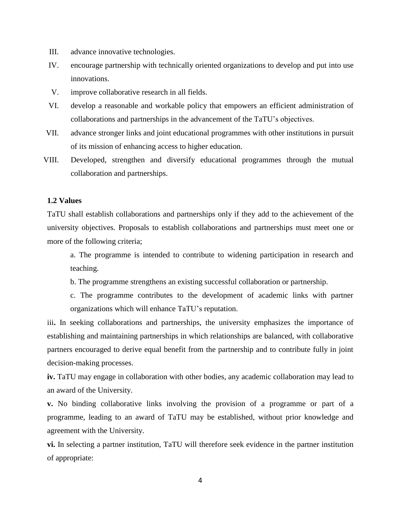- III. advance innovative technologies.
- IV. encourage partnership with technically oriented organizations to develop and put into use innovations.
- V. improve collaborative research in all fields.
- VI. develop a reasonable and workable policy that empowers an efficient administration of collaborations and partnerships in the advancement of the TaTU's objectives.
- VII. advance stronger links and joint educational programmes with other institutions in pursuit of its mission of enhancing access to higher education.
- VIII. Developed, strengthen and diversify educational programmes through the mutual collaboration and partnerships.

## **1.2 Values**

TaTU shall establish collaborations and partnerships only if they add to the achievement of the university objectives. Proposals to establish collaborations and partnerships must meet one or more of the following criteria;

a. The programme is intended to contribute to widening participation in research and teaching.

- b. The programme strengthens an existing successful collaboration or partnership.
- c. The programme contributes to the development of academic links with partner organizations which will enhance TaTU's reputation.

iii**.** In seeking collaborations and partnerships, the university emphasizes the importance of establishing and maintaining partnerships in which relationships are balanced, with collaborative partners encouraged to derive equal benefit from the partnership and to contribute fully in joint decision-making processes.

**iv.** TaTU may engage in collaboration with other bodies, any academic collaboration may lead to an award of the University.

**v.** No binding collaborative links involving the provision of a programme or part of a programme, leading to an award of TaTU may be established, without prior knowledge and agreement with the University.

**vi.** In selecting a partner institution, TaTU will therefore seek evidence in the partner institution of appropriate: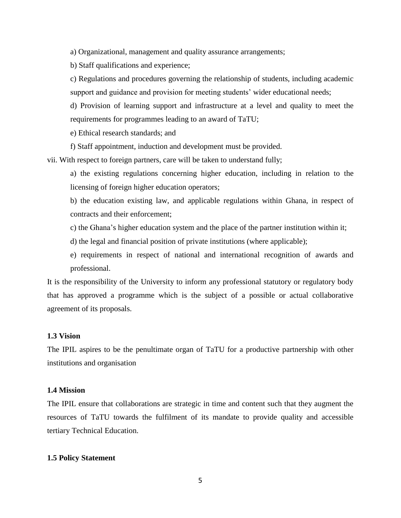a) Organizational, management and quality assurance arrangements;

b) Staff qualifications and experience;

c) Regulations and procedures governing the relationship of students, including academic support and guidance and provision for meeting students' wider educational needs;

d) Provision of learning support and infrastructure at a level and quality to meet the requirements for programmes leading to an award of TaTU;

e) Ethical research standards; and

f) Staff appointment, induction and development must be provided.

vii. With respect to foreign partners, care will be taken to understand fully;

a) the existing regulations concerning higher education, including in relation to the licensing of foreign higher education operators;

b) the education existing law, and applicable regulations within Ghana, in respect of contracts and their enforcement;

- c) the Ghana's higher education system and the place of the partner institution within it;
- d) the legal and financial position of private institutions (where applicable);
- e) requirements in respect of national and international recognition of awards and professional.

It is the responsibility of the University to inform any professional statutory or regulatory body that has approved a programme which is the subject of a possible or actual collaborative agreement of its proposals.

# **1.3 Vision**

The IPIL aspires to be the penultimate organ of TaTU for a productive partnership with other institutions and organisation

### **1.4 Mission**

The IPIL ensure that collaborations are strategic in time and content such that they augment the resources of TaTU towards the fulfilment of its mandate to provide quality and accessible tertiary Technical Education.

## **1.5 Policy Statement**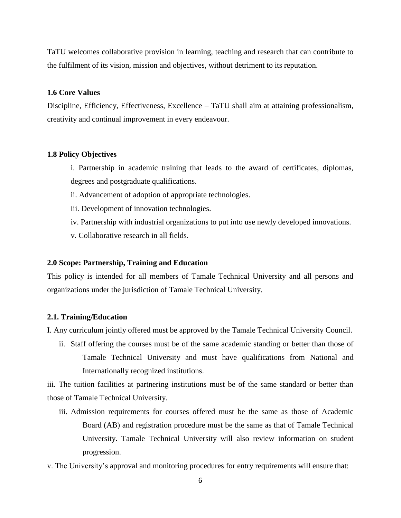TaTU welcomes collaborative provision in learning, teaching and research that can contribute to the fulfilment of its vision, mission and objectives, without detriment to its reputation.

## **1.6 Core Values**

Discipline, Efficiency, Effectiveness, Excellence – TaTU shall aim at attaining professionalism, creativity and continual improvement in every endeavour.

## **1.8 Policy Objectives**

- i. Partnership in academic training that leads to the award of certificates, diplomas, degrees and postgraduate qualifications.
- ii. Advancement of adoption of appropriate technologies.
- iii. Development of innovation technologies.
- iv. Partnership with industrial organizations to put into use newly developed innovations.
- v. Collaborative research in all fields.

## **2.0 Scope: Partnership, Training and Education**

This policy is intended for all members of Tamale Technical University and all persons and organizations under the jurisdiction of Tamale Technical University.

## **2.1. Training/Education**

I. Any curriculum jointly offered must be approved by the Tamale Technical University Council.

ii. Staff offering the courses must be of the same academic standing or better than those of Tamale Technical University and must have qualifications from National and Internationally recognized institutions.

iii. The tuition facilities at partnering institutions must be of the same standard or better than those of Tamale Technical University.

- iii. Admission requirements for courses offered must be the same as those of Academic Board (AB) and registration procedure must be the same as that of Tamale Technical University. Tamale Technical University will also review information on student progression.
- v. The University's approval and monitoring procedures for entry requirements will ensure that: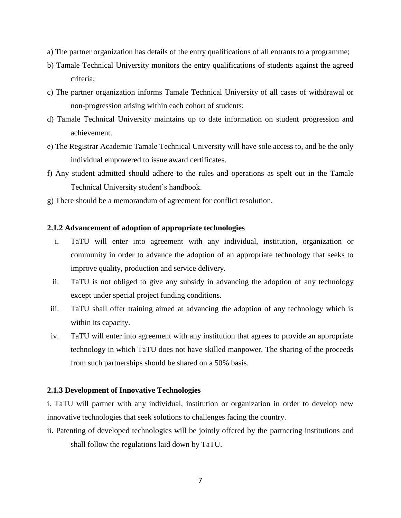- a) The partner organization has details of the entry qualifications of all entrants to a programme;
- b) Tamale Technical University monitors the entry qualifications of students against the agreed criteria;
- c) The partner organization informs Tamale Technical University of all cases of withdrawal or non-progression arising within each cohort of students;
- d) Tamale Technical University maintains up to date information on student progression and achievement.
- e) The Registrar Academic Tamale Technical University will have sole access to, and be the only individual empowered to issue award certificates.
- f) Any student admitted should adhere to the rules and operations as spelt out in the Tamale Technical University student's handbook.
- g) There should be a memorandum of agreement for conflict resolution.

## **2.1.2 Advancement of adoption of appropriate technologies**

- i. TaTU will enter into agreement with any individual, institution, organization or community in order to advance the adoption of an appropriate technology that seeks to improve quality, production and service delivery.
- ii. TaTU is not obliged to give any subsidy in advancing the adoption of any technology except under special project funding conditions.
- iii. TaTU shall offer training aimed at advancing the adoption of any technology which is within its capacity.
- iv. TaTU will enter into agreement with any institution that agrees to provide an appropriate technology in which TaTU does not have skilled manpower. The sharing of the proceeds from such partnerships should be shared on a 50% basis.

## **2.1.3 Development of Innovative Technologies**

i. TaTU will partner with any individual, institution or organization in order to develop new innovative technologies that seek solutions to challenges facing the country.

ii. Patenting of developed technologies will be jointly offered by the partnering institutions and shall follow the regulations laid down by TaTU.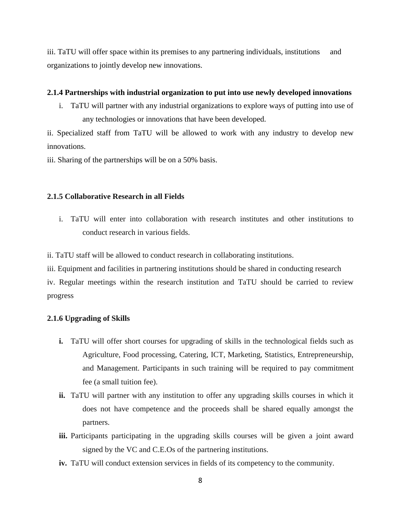iii. TaTU will offer space within its premises to any partnering individuals, institutions and organizations to jointly develop new innovations.

## **2.1.4 Partnerships with industrial organization to put into use newly developed innovations**

i. TaTU will partner with any industrial organizations to explore ways of putting into use of any technologies or innovations that have been developed.

ii. Specialized staff from TaTU will be allowed to work with any industry to develop new innovations.

iii. Sharing of the partnerships will be on a 50% basis.

## **2.1.5 Collaborative Research in all Fields**

i. TaTU will enter into collaboration with research institutes and other institutions to conduct research in various fields.

ii. TaTU staff will be allowed to conduct research in collaborating institutions.

iii. Equipment and facilities in partnering institutions should be shared in conducting research iv. Regular meetings within the research institution and TaTU should be carried to review progress

#### **2.1.6 Upgrading of Skills**

- **i.** TaTU will offer short courses for upgrading of skills in the technological fields such as Agriculture, Food processing, Catering, ICT, Marketing, Statistics, Entrepreneurship, and Management. Participants in such training will be required to pay commitment fee (a small tuition fee).
- **ii.** TaTU will partner with any institution to offer any upgrading skills courses in which it does not have competence and the proceeds shall be shared equally amongst the partners.
- iii. Participants participating in the upgrading skills courses will be given a joint award signed by the VC and C.E.Os of the partnering institutions.
- **iv.** TaTU will conduct extension services in fields of its competency to the community.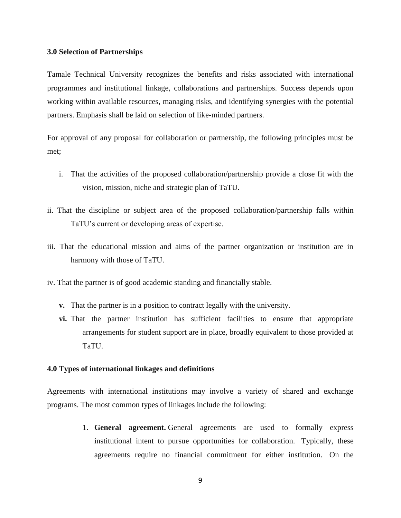#### **3.0 Selection of Partnerships**

Tamale Technical University recognizes the benefits and risks associated with international programmes and institutional linkage, collaborations and partnerships. Success depends upon working within available resources, managing risks, and identifying synergies with the potential partners. Emphasis shall be laid on selection of like-minded partners.

For approval of any proposal for collaboration or partnership, the following principles must be met;

- i. That the activities of the proposed collaboration/partnership provide a close fit with the vision, mission, niche and strategic plan of TaTU.
- ii. That the discipline or subject area of the proposed collaboration/partnership falls within TaTU's current or developing areas of expertise.
- iii. That the educational mission and aims of the partner organization or institution are in harmony with those of TaTU.
- iv. That the partner is of good academic standing and financially stable.
	- **v.** That the partner is in a position to contract legally with the university.
	- **vi.** That the partner institution has sufficient facilities to ensure that appropriate arrangements for student support are in place, broadly equivalent to those provided at TaTU.

## **4.0 Types of international linkages and definitions**

Agreements with international institutions may involve a variety of shared and exchange programs. The most common types of linkages include the following:

> 1. **General agreement.** General agreements are used to formally express institutional intent to pursue opportunities for collaboration. Typically, these agreements require no financial commitment for either institution. On the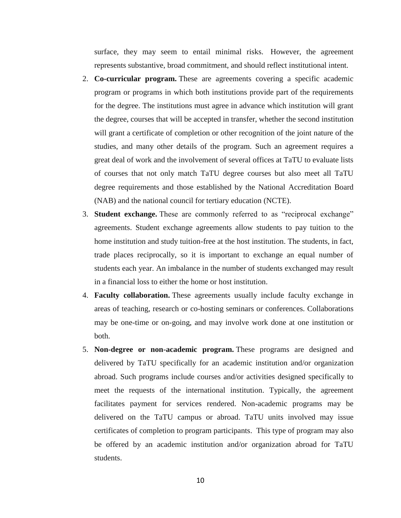surface, they may seem to entail minimal risks. However, the agreement represents substantive, broad commitment, and should reflect institutional intent.

- 2. **Co-curricular program.** These are agreements covering a specific academic program or programs in which both institutions provide part of the requirements for the degree. The institutions must agree in advance which institution will grant the degree, courses that will be accepted in transfer, whether the second institution will grant a certificate of completion or other recognition of the joint nature of the studies, and many other details of the program. Such an agreement requires a great deal of work and the involvement of several offices at TaTU to evaluate lists of courses that not only match TaTU degree courses but also meet all TaTU degree requirements and those established by the National Accreditation Board (NAB) and the national council for tertiary education (NCTE).
- 3. **Student exchange.** These are commonly referred to as "reciprocal exchange" agreements. Student exchange agreements allow students to pay tuition to the home institution and study tuition-free at the host institution. The students, in fact, trade places reciprocally, so it is important to exchange an equal number of students each year. An imbalance in the number of students exchanged may result in a financial loss to either the home or host institution.
- 4. **Faculty collaboration.** These agreements usually include faculty exchange in areas of teaching, research or co-hosting seminars or conferences. Collaborations may be one-time or on-going, and may involve work done at one institution or both.
- 5. **Non-degree or non-academic program.** These programs are designed and delivered by TaTU specifically for an academic institution and/or organization abroad. Such programs include courses and/or activities designed specifically to meet the requests of the international institution. Typically, the agreement facilitates payment for services rendered. Non-academic programs may be delivered on the TaTU campus or abroad. TaTU units involved may issue certificates of completion to program participants. This type of program may also be offered by an academic institution and/or organization abroad for TaTU students.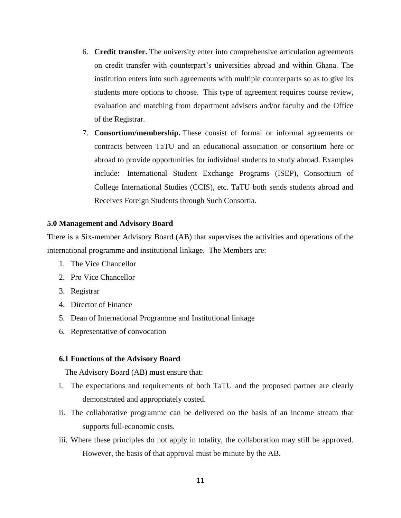- 6. **Credit transfer.** The university enter into comprehensive articulation agreements on credit transfer with counterpart's universities abroad and within Ghana. The institution enters into such agreements with multiple counterparts so as to give its students more options to choose. This type of agreement requires course review, evaluation and matching from department advisers and/or faculty and the Office of the Registrar.
- 7. **Consortium/membership.** These consist of formal or informal agreements or contracts between TaTU and an educational association or consortium here or abroad to provide opportunities for individual students to study abroad. Examples include: International Student Exchange Programs (ISEP), Consortium of College International Studies (CCIS), etc. TaTU both sends students abroad and Receives Foreign Students through Such Consortia.

## **5.0 Management and Advisory Board**

There is a Six-member Advisory Board (AB) that supervises the activities and operations of the international programme and institutional linkage. The Members are:

- 1. The Vice Chancellor
- 2. Pro Vice Chancellor
- 3. Registrar
- 4. Director of Finance
- 5. Dean of International Programme and Institutional linkage
- 6. Representative of convocation

#### **6.1 Functions of the Advisory Board**

The Advisory Board (AB) must ensure that:

- i. The expectations and requirements of both TaTU and the proposed partner are clearly demonstrated and appropriately costed.
- ii. The collaborative programme can be delivered on the basis of an income stream that supports full-economic costs.
- iii. Where these principles do not apply in totality, the collaboration may still be approved. However, the basis of that approval must be minute by the AB.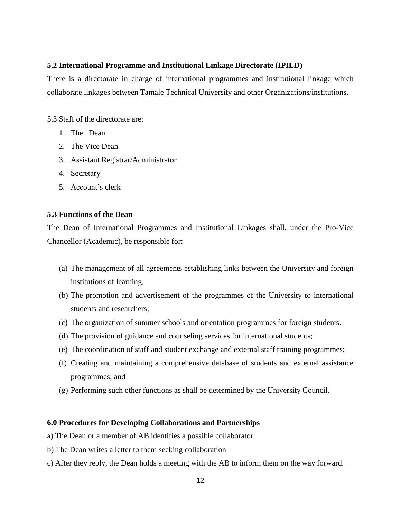## **5.2 International Programme and Institutional Linkage Directorate (IPILD)**

There is a directorate in charge of international programmes and institutional linkage which collaborate linkages between Tamale Technical University and other Organizations/institutions.

5.3 Staff of the directorate are:

- 1. The Dean
- 2. The Vice Dean
- 3. Assistant Registrar/Administrator
- 4. Secretary
- 5. Account's clerk

## **5.3 Functions of the Dean**

The Dean of International Programmes and Institutional Linkages shall, under the Pro-Vice Chancellor (Academic), be responsible for:

- (a) The management of all agreements establishing links between the University and foreign institutions of learning,
- (b) The promotion and advertisement of the programmes of the University to international students and researchers;
- (c) The organization of summer schools and orientation programmes for foreign students.
- (d) The provision of guidance and counseling services for international students;
- (e) The coordination of staff and student exchange and external staff training programmes;
- (f) Creating and maintaining a comprehensive database of students and external assistance programmes; and
- (g) Performing such other functions as shall be determined by the University Council.

## **6.0 Procedures for Developing Collaborations and Partnerships**

- a) The Dean or a member of AB identifies a possible collaborator
- b) The Dean writes a letter to them seeking collaboration
- c) After they reply, the Dean holds a meeting with the AB to inform them on the way forward.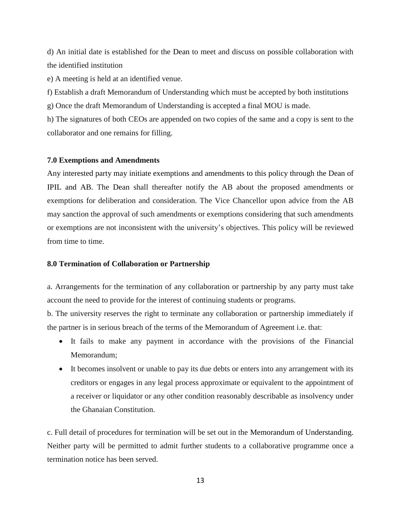d) An initial date is established for the Dean to meet and discuss on possible collaboration with the identified institution

e) A meeting is held at an identified venue.

f) Establish a draft Memorandum of Understanding which must be accepted by both institutions

g) Once the draft Memorandum of Understanding is accepted a final MOU is made.

h) The signatures of both CEOs are appended on two copies of the same and a copy is sent to the collaborator and one remains for filling.

#### **7.0 Exemptions and Amendments**

Any interested party may initiate exemptions and amendments to this policy through the Dean of IPIL and AB. The Dean shall thereafter notify the AB about the proposed amendments or exemptions for deliberation and consideration. The Vice Chancellor upon advice from the AB may sanction the approval of such amendments or exemptions considering that such amendments or exemptions are not inconsistent with the university's objectives. This policy will be reviewed from time to time.

#### **8.0 Termination of Collaboration or Partnership**

a. Arrangements for the termination of any collaboration or partnership by any party must take account the need to provide for the interest of continuing students or programs.

b. The university reserves the right to terminate any collaboration or partnership immediately if the partner is in serious breach of the terms of the Memorandum of Agreement i.e. that:

- It fails to make any payment in accordance with the provisions of the Financial Memorandum;
- It becomes insolvent or unable to pay its due debts or enters into any arrangement with its creditors or engages in any legal process approximate or equivalent to the appointment of a receiver or liquidator or any other condition reasonably describable as insolvency under the Ghanaian Constitution.

c. Full detail of procedures for termination will be set out in the Memorandum of Understanding. Neither party will be permitted to admit further students to a collaborative programme once a termination notice has been served.